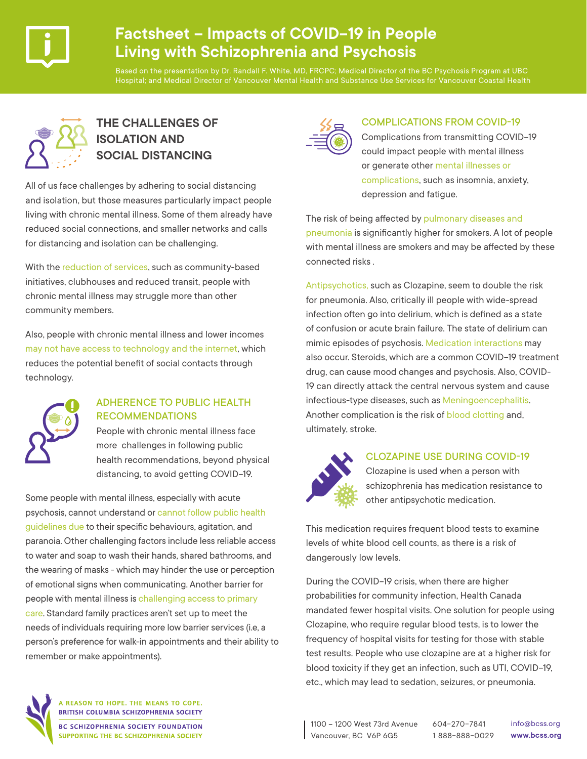

# **Factsheet – Impacts of COVID-19 in People Living with Schizophrenia and Psychosis**

Based on the presentation by Dr. Randall F. White, MD, FRCPC; Medical Director of the BC Psychosis Program at UBC Hospital; and Medical Director of Vancouver Mental Health and Substance Use Services for Vancouver Coastal Health



# **THE CHALLENGES OF ISOLATION AND SOCIAL DISTANCING**

All of us face challenges by adhering to social distancing and isolation, but those measures particularly impact people living with chronic mental illness. Some of them already have reduced social connections, and smaller networks and calls for distancing and isolation can be challenging.

With the reduction of services, such as community-based initiatives, clubhouses and reduced transit, people with chronic mental illness may struggle more than other community members.

Also, people with chronic mental illness and lower incomes may not have access to technology and the internet, which reduces the potential benefit of social contacts through technology.



#### ADHERENCE TO PUBLIC HEALTH RECOMMENDATIONS

People with chronic mental illness face more challenges in following public health recommendations, beyond physical distancing, to avoid getting COVID-19.

Some people with mental illness, especially with acute psychosis, cannot understand or cannot follow public health guidelines due to their specific behaviours, agitation, and paranoia. Other challenging factors include less reliable access to water and soap to wash their hands, shared bathrooms, and the wearing of masks - which may hinder the use or perception of emotional signs when communicating. Another barrier for people with mental illness is challenging access to primary care. Standard family practices aren't set up to meet the needs of individuals requiring more low barrier services (i.e, a person's preference for walk-in appointments and their ability to remember or make appointments).



#### COMPLICATIONS FROM COVID-19

Complications from transmitting COVID-19 could impact people with mental illness or generate other mental illnesses or complications, such as insomnia, anxiety, depression and fatigue.

The risk of being affected by pulmonary diseases and pneumonia is significantly higher for smokers. A lot of people with mental illness are smokers and may be affected by these connected risks .

Antipsychotics, such as Clozapine, seem to double the risk for pneumonia. Also, critically ill people with wide-spread infection often go into delirium, which is defined as a state of confusion or acute brain failure. The state of delirium can mimic episodes of psychosis. Medication interactions may also occur. Steroids, which are a common COVID-19 treatment drug, can cause mood changes and psychosis. Also, COVID-19 can directly attack the central nervous system and cause infectious-type diseases, such as Meningoencephalitis. Another complication is the risk of blood clotting and, ultimately, stroke.



#### CLOZAPINE USE DURING COVID-19

Clozapine is used when a person with schizophrenia has medication resistance to other antipsychotic medication.

This medication requires frequent blood tests to examine levels of white blood cell counts, as there is a risk of dangerously low levels.

During the COVID-19 crisis, when there are higher probabilities for community infection, Health Canada mandated fewer hospital visits. One solution for people using Clozapine, who require regular blood tests, is to lower the frequency of hospital visits for testing for those with stable test results. People who use clozapine are at a higher risk for blood toxicity if they get an infection, such as UTI, COVID-19, etc., which may lead to sedation, seizures, or pneumonia.



**REASON TO HOPE. THE MEANS TO COPE.** BRITISH COLUMBIA SCHIZOPHRENIA SOCIETY

**BC SCHIZOPHRENIA SOCIETY FOUNDATION** SUPPORTING THE BC SCHIZOPHRENIA SOCIETY